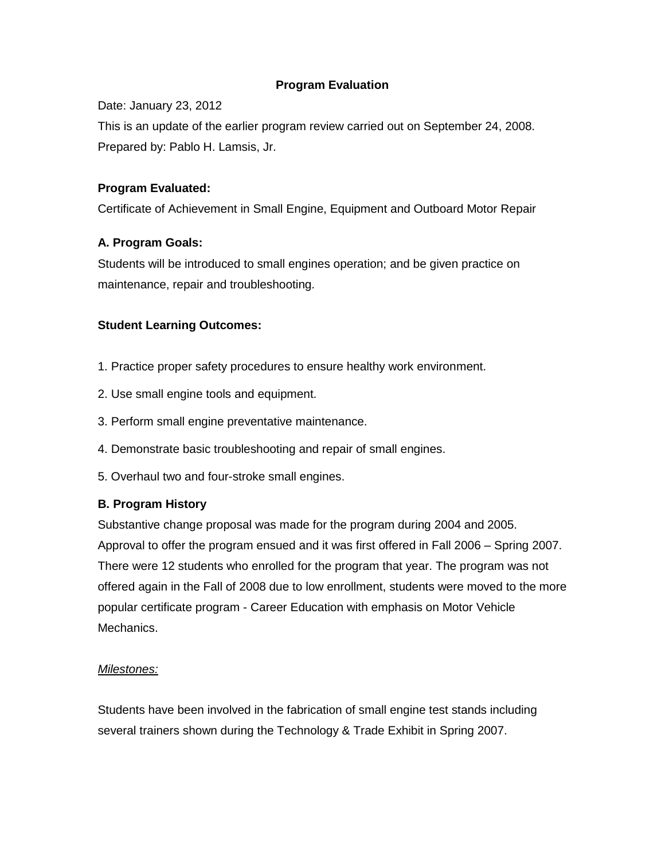## **Program Evaluation**

Date: January 23, 2012

This is an update of the earlier program review carried out on September 24, 2008. Prepared by: Pablo H. Lamsis, Jr.

## **Program Evaluated:**

Certificate of Achievement in Small Engine, Equipment and Outboard Motor Repair

## **A. Program Goals:**

Students will be introduced to small engines operation; and be given practice on maintenance, repair and troubleshooting.

## **Student Learning Outcomes:**

- 1. Practice proper safety procedures to ensure healthy work environment.
- 2. Use small engine tools and equipment.
- 3. Perform small engine preventative maintenance.
- 4. Demonstrate basic troubleshooting and repair of small engines.
- 5. Overhaul two and four-stroke small engines.

### **B. Program History**

Substantive change proposal was made for the program during 2004 and 2005. Approval to offer the program ensued and it was first offered in Fall 2006 – Spring 2007. There were 12 students who enrolled for the program that year. The program was not offered again in the Fall of 2008 due to low enrollment, students were moved to the more popular certificate program - Career Education with emphasis on Motor Vehicle Mechanics.

### *Milestones:*

Students have been involved in the fabrication of small engine test stands including several trainers shown during the Technology & Trade Exhibit in Spring 2007.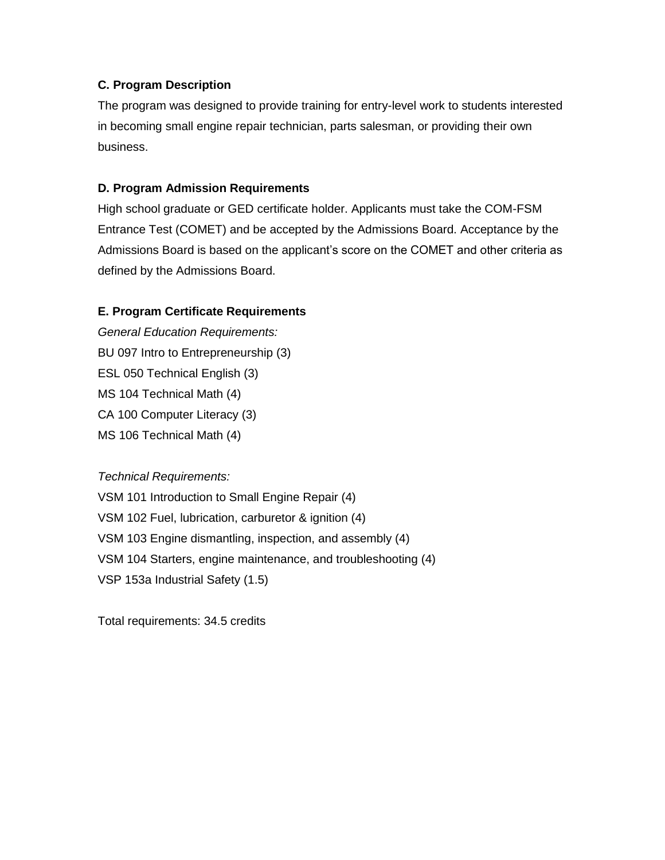## **C. Program Description**

The program was designed to provide training for entry-level work to students interested in becoming small engine repair technician, parts salesman, or providing their own business.

## **D. Program Admission Requirements**

High school graduate or GED certificate holder. Applicants must take the COM-FSM Entrance Test (COMET) and be accepted by the Admissions Board. Acceptance by the Admissions Board is based on the applicant's score on the COMET and other criteria as defined by the Admissions Board.

## **E. Program Certificate Requirements**

*General Education Requirements:* BU 097 Intro to Entrepreneurship (3) ESL 050 Technical English (3) MS 104 Technical Math (4) CA 100 Computer Literacy (3) MS 106 Technical Math (4)

### *Technical Requirements:*

VSM 101 Introduction to Small Engine Repair (4) VSM 102 Fuel, lubrication, carburetor & ignition (4) VSM 103 Engine dismantling, inspection, and assembly (4) VSM 104 Starters, engine maintenance, and troubleshooting (4) VSP 153a Industrial Safety (1.5)

Total requirements: 34.5 credits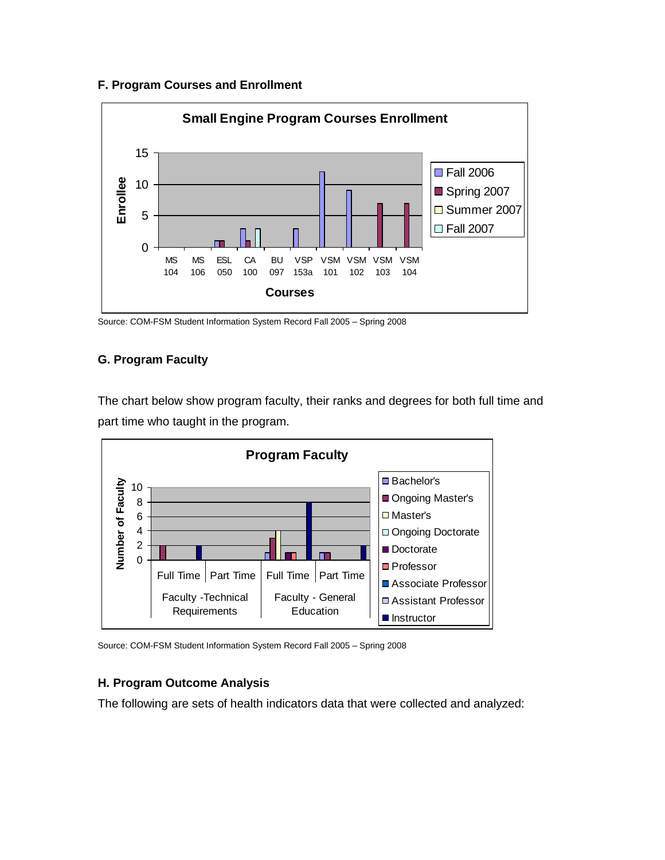## **F. Program Courses and Enrollment**



Source: COM-FSM Student Information System Record Fall 2005 – Spring 2008

# **G. Program Faculty**

The chart below show program faculty, their ranks and degrees for both full time and part time who taught in the program.



Source: COM-FSM Student Information System Record Fall 2005 – Spring 2008

# **H. Program Outcome Analysis**

The following are sets of health indicators data that were collected and analyzed: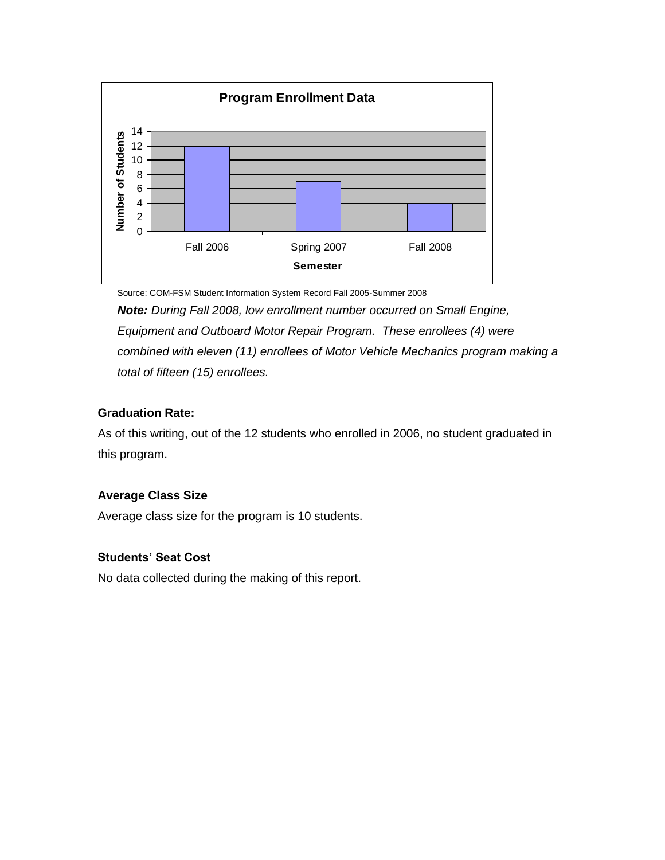

Source: COM-FSM Student Information System Record Fall 2005-Summer 2008

*Note: During Fall 2008, low enrollment number occurred on Small Engine, Equipment and Outboard Motor Repair Program. These enrollees (4) were combined with eleven (11) enrollees of Motor Vehicle Mechanics program making a total of fifteen (15) enrollees.*

## **Graduation Rate:**

As of this writing, out of the 12 students who enrolled in 2006, no student graduated in this program.

## **Average Class Size**

Average class size for the program is 10 students.

## **Students' Seat Cost**

No data collected during the making of this report.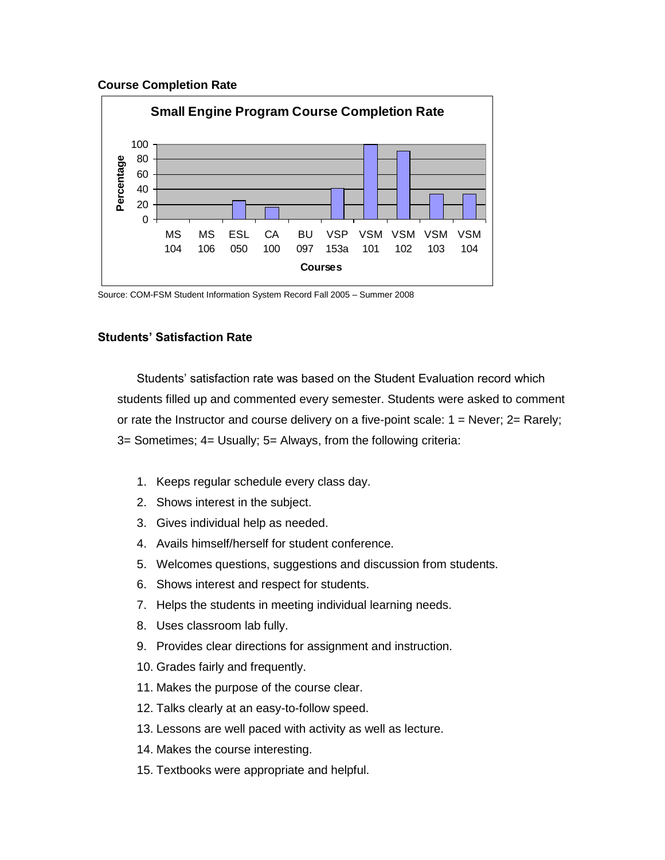#### **Course Completion Rate**



Source: COM-FSM Student Information System Record Fall 2005 – Summer 2008

### **Students' Satisfaction Rate**

Students' satisfaction rate was based on the Student Evaluation record which students filled up and commented every semester. Students were asked to comment or rate the Instructor and course delivery on a five-point scale:  $1 =$  Never;  $2 =$  Rarely; 3= Sometimes; 4= Usually; 5= Always, from the following criteria:

- 1. Keeps regular schedule every class day.
- 2. Shows interest in the subject.
- 3. Gives individual help as needed.
- 4. Avails himself/herself for student conference.
- 5. Welcomes questions, suggestions and discussion from students.
- 6. Shows interest and respect for students.
- 7. Helps the students in meeting individual learning needs.
- 8. Uses classroom lab fully.
- 9. Provides clear directions for assignment and instruction.
- 10. Grades fairly and frequently.
- 11. Makes the purpose of the course clear.
- 12. Talks clearly at an easy-to-follow speed.
- 13. Lessons are well paced with activity as well as lecture.
- 14. Makes the course interesting.
- 15. Textbooks were appropriate and helpful.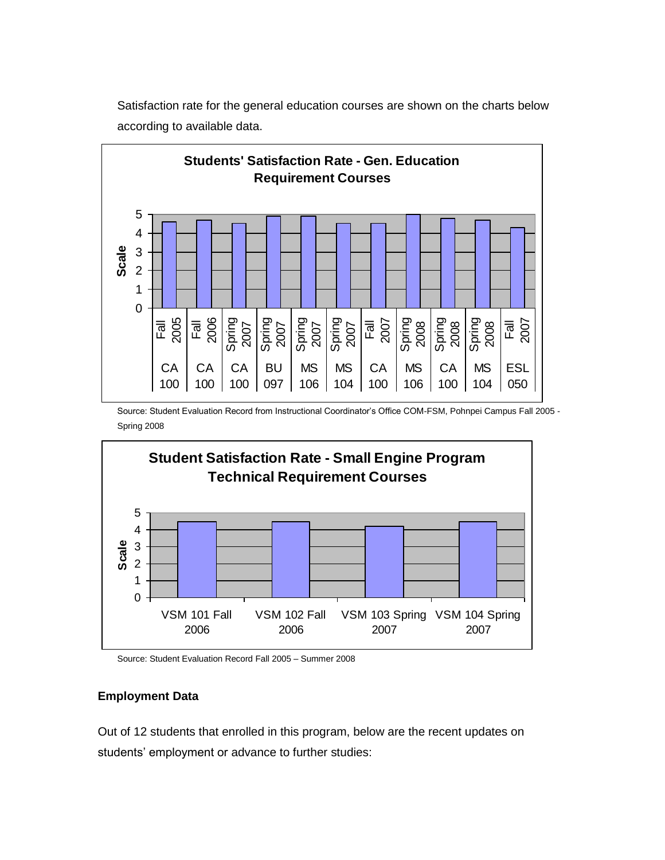

Satisfaction rate for the general education courses are shown on the charts below according to available data.

Source: Student Evaluation Record from Instructional Coordinator's Office COM-FSM, Pohnpei Campus Fall 2005 - Spring 2008



Source: Student Evaluation Record Fall 2005 – Summer 2008

### **Employment Data**

Out of 12 students that enrolled in this program, below are the recent updates on students' employment or advance to further studies: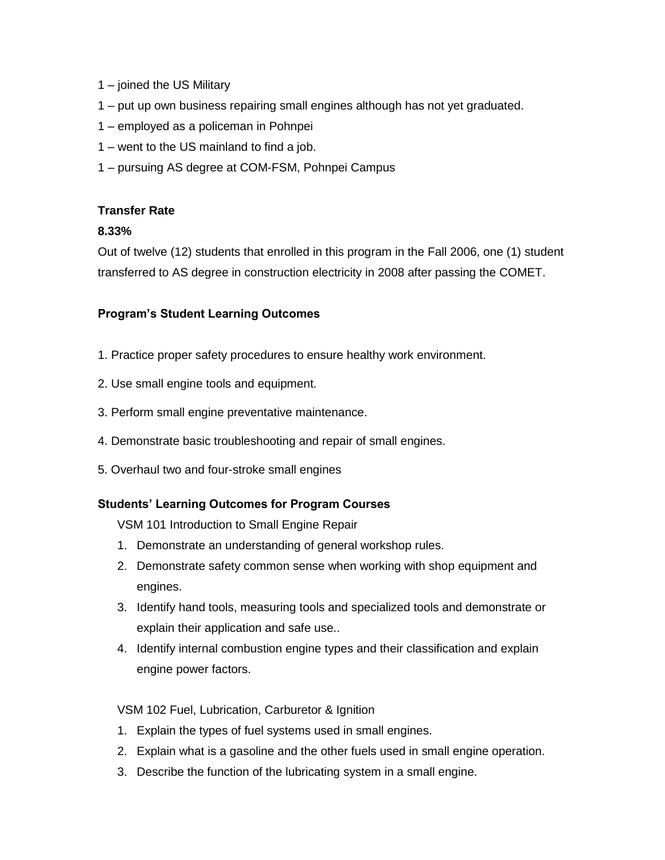- 1 joined the US Military
- 1 put up own business repairing small engines although has not yet graduated.
- 1 employed as a policeman in Pohnpei
- 1 went to the US mainland to find a job.
- 1 pursuing AS degree at COM-FSM, Pohnpei Campus

### **Transfer Rate**

## **8.33%**

Out of twelve (12) students that enrolled in this program in the Fall 2006, one (1) student transferred to AS degree in construction electricity in 2008 after passing the COMET.

## **Program's Student Learning Outcomes**

- 1. Practice proper safety procedures to ensure healthy work environment.
- 2. Use small engine tools and equipment.
- 3. Perform small engine preventative maintenance.
- 4. Demonstrate basic troubleshooting and repair of small engines.
- 5. Overhaul two and four-stroke small engines

## **Students' Learning Outcomes for Program Courses**

VSM 101 Introduction to Small Engine Repair

- 1. Demonstrate an understanding of general workshop rules.
- 2. Demonstrate safety common sense when working with shop equipment and engines.
- 3. Identify hand tools, measuring tools and specialized tools and demonstrate or explain their application and safe use..
- 4. Identify internal combustion engine types and their classification and explain engine power factors.

## VSM 102 Fuel, Lubrication, Carburetor & Ignition

- 1. Explain the types of fuel systems used in small engines.
- 2. Explain what is a gasoline and the other fuels used in small engine operation.
- 3. Describe the function of the lubricating system in a small engine.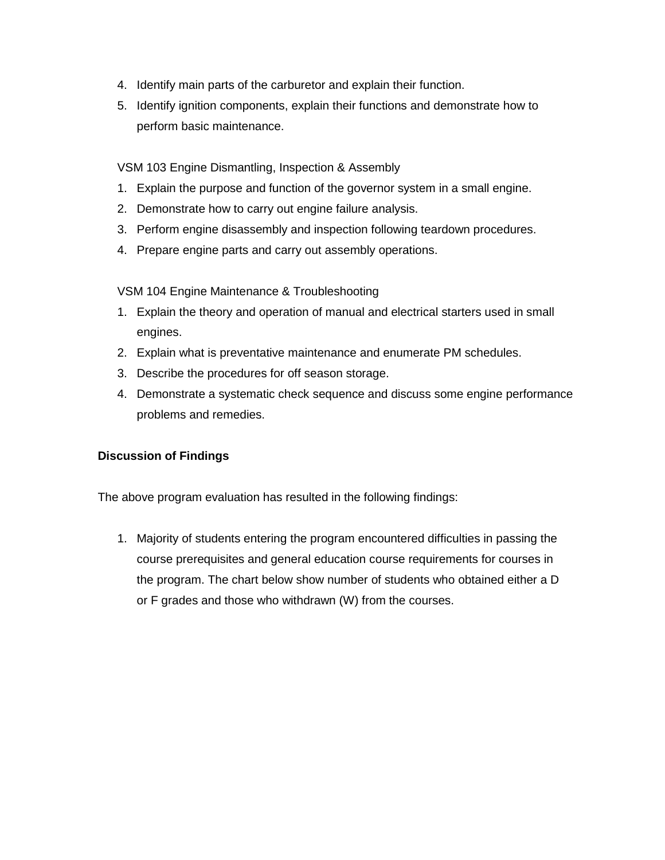- 4. Identify main parts of the carburetor and explain their function.
- 5. Identify ignition components, explain their functions and demonstrate how to perform basic maintenance.

VSM 103 Engine Dismantling, Inspection & Assembly

- 1. Explain the purpose and function of the governor system in a small engine.
- 2. Demonstrate how to carry out engine failure analysis.
- 3. Perform engine disassembly and inspection following teardown procedures.
- 4. Prepare engine parts and carry out assembly operations.

VSM 104 Engine Maintenance & Troubleshooting

- 1. Explain the theory and operation of manual and electrical starters used in small engines.
- 2. Explain what is preventative maintenance and enumerate PM schedules.
- 3. Describe the procedures for off season storage.
- 4. Demonstrate a systematic check sequence and discuss some engine performance problems and remedies.

### **Discussion of Findings**

The above program evaluation has resulted in the following findings:

1. Majority of students entering the program encountered difficulties in passing the course prerequisites and general education course requirements for courses in the program. The chart below show number of students who obtained either a D or F grades and those who withdrawn (W) from the courses.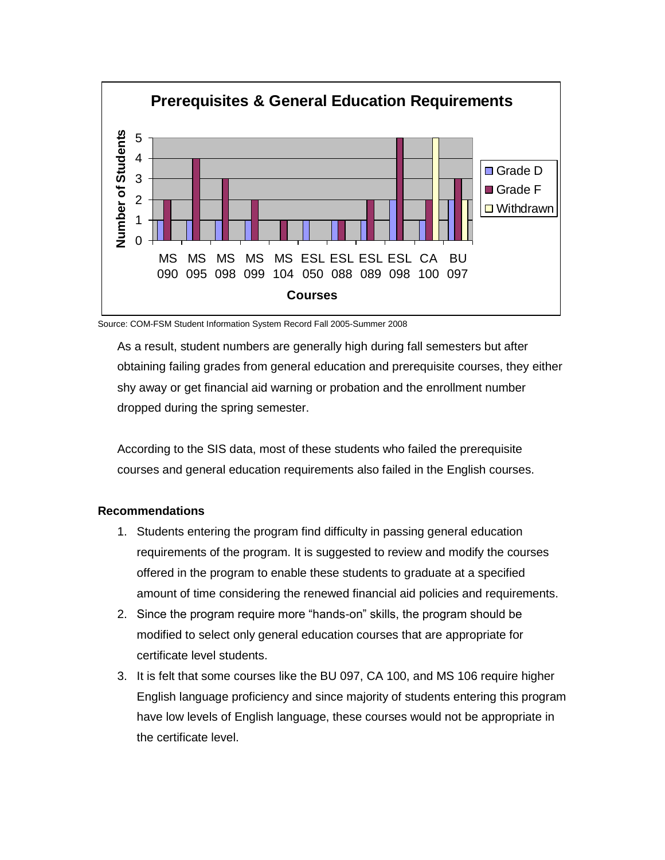

Source: COM-FSM Student Information System Record Fall 2005-Summer 2008

As a result, student numbers are generally high during fall semesters but after obtaining failing grades from general education and prerequisite courses, they either shy away or get financial aid warning or probation and the enrollment number dropped during the spring semester.

According to the SIS data, most of these students who failed the prerequisite courses and general education requirements also failed in the English courses.

#### **Recommendations**

- 1. Students entering the program find difficulty in passing general education requirements of the program. It is suggested to review and modify the courses offered in the program to enable these students to graduate at a specified amount of time considering the renewed financial aid policies and requirements.
- 2. Since the program require more "hands-on" skills, the program should be modified to select only general education courses that are appropriate for certificate level students.
- 3. It is felt that some courses like the BU 097, CA 100, and MS 106 require higher English language proficiency and since majority of students entering this program have low levels of English language, these courses would not be appropriate in the certificate level.